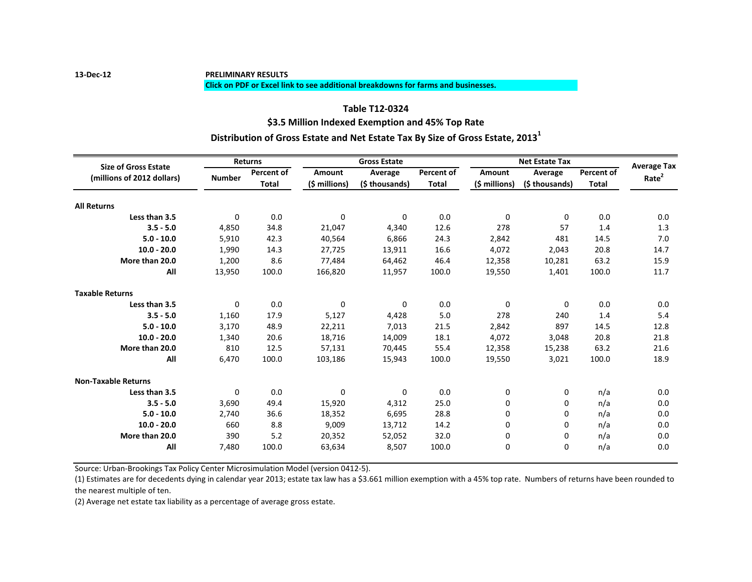#### **Click on PDF or Excel link to see additional breakdowns for farms and businesses.**

# **\$3.5 Million Indexed Exemption and 45% Top Rate Table T12-0324 Distribution of Gross Estate and Net Estate Tax By Size of Gross Estate, 2013<sup>1</sup>**

| <b>Size of Gross Estate</b> | <b>Returns</b>                              |              | <b>Gross Estate</b> |                           |              | <b>Net Estate Tax</b> |                           |                            | <b>Average Tax</b> |
|-----------------------------|---------------------------------------------|--------------|---------------------|---------------------------|--------------|-----------------------|---------------------------|----------------------------|--------------------|
|                             |                                             | Percent of   | Amount              | Average<br>(\$ thousands) | Percent of   | Amount                | Average<br>(\$ thousands) | Percent of<br><b>Total</b> | Rate <sup>2</sup>  |
|                             | (millions of 2012 dollars)<br><b>Number</b> | <b>Total</b> | (\$ millions)       |                           | <b>Total</b> | (\$ millions)         |                           |                            |                    |
| <b>All Returns</b>          |                                             |              |                     |                           |              |                       |                           |                            |                    |
| Less than 3.5               | $\mathbf 0$                                 | 0.0          | $\mathbf 0$         | $\Omega$                  | 0.0          | 0                     | $\Omega$                  | 0.0                        | 0.0                |
| $3.5 - 5.0$                 | 4,850                                       | 34.8         | 21,047              | 4,340                     | 12.6         | 278                   | 57                        | 1.4                        | 1.3                |
| $5.0 - 10.0$                | 5,910                                       | 42.3         | 40,564              | 6,866                     | 24.3         | 2,842                 | 481                       | 14.5                       | 7.0                |
| $10.0 - 20.0$               | 1,990                                       | 14.3         | 27,725              | 13,911                    | 16.6         | 4,072                 | 2,043                     | 20.8                       | 14.7               |
| More than 20.0              | 1,200                                       | 8.6          | 77,484              | 64,462                    | 46.4         | 12,358                | 10,281                    | 63.2                       | 15.9               |
| All                         |                                             |              |                     |                           |              |                       |                           |                            |                    |
|                             | 13,950                                      | 100.0        | 166,820             | 11,957                    | 100.0        | 19,550                | 1,401                     | 100.0                      | 11.7               |
| <b>Taxable Returns</b>      |                                             |              |                     |                           |              |                       |                           |                            |                    |
| Less than 3.5               | 0                                           | 0.0          | $\mathbf 0$         | $\Omega$                  | 0.0          | 0                     | $\Omega$                  | 0.0                        | 0.0                |
| $3.5 - 5.0$                 | 1,160                                       | 17.9         | 5,127               | 4,428                     | 5.0          | 278                   | 240                       | 1.4                        | 5.4                |
| $5.0 - 10.0$                | 3,170                                       | 48.9         | 22,211              | 7,013                     | 21.5         | 2,842                 | 897                       | 14.5                       | 12.8               |
| $10.0 - 20.0$               | 1,340                                       | 20.6         | 18,716              | 14,009                    | 18.1         | 4,072                 | 3,048                     | 20.8                       | 21.8               |
| More than 20.0              | 810                                         | 12.5         | 57,131              | 70,445                    | 55.4         | 12,358                | 15,238                    | 63.2                       | 21.6               |
| All                         | 6,470                                       | 100.0        | 103,186             | 15,943                    | 100.0        | 19,550                | 3,021                     | 100.0                      | 18.9               |
| <b>Non-Taxable Returns</b>  |                                             |              |                     |                           |              |                       |                           |                            |                    |
| Less than 3.5               | 0                                           | 0.0          | $\mathbf 0$         | $\Omega$                  | 0.0          | 0                     | 0                         | n/a                        | 0.0                |
| $3.5 - 5.0$                 | 3,690                                       | 49.4         | 15,920              | 4,312                     | 25.0         | 0                     | $\Omega$                  | n/a                        | 0.0                |
| $5.0 - 10.0$                | 2.740                                       | 36.6         | 18,352              | 6,695                     | 28.8         | 0                     | $\Omega$                  | n/a                        | 0.0                |
| $10.0 - 20.0$               | 660                                         | 8.8          | 9,009               | 13,712                    | 14.2         | 0                     | $\Omega$                  | n/a                        | 0.0                |
| More than 20.0              | 390                                         | 5.2          | 20,352              | 52,052                    | 32.0         | 0                     | 0                         | n/a                        | 0.0                |
| All                         | 7,480                                       | 100.0        | 63,634              | 8,507                     | 100.0        | 0                     | $\Omega$                  | n/a                        | 0.0                |
|                             |                                             |              |                     |                           |              |                       |                           |                            |                    |

Source: Urban-Brookings Tax Policy Center Microsimulation Model (version 0412-5).

(1) Estimates are for decedents dying in calendar year 2013; estate tax law has a \$3.661 million exemption with a 45% top rate. Numbers of returns have been rounded to the nearest multiple of ten.

(2) Average net estate tax liability as a percentage of average gross estate.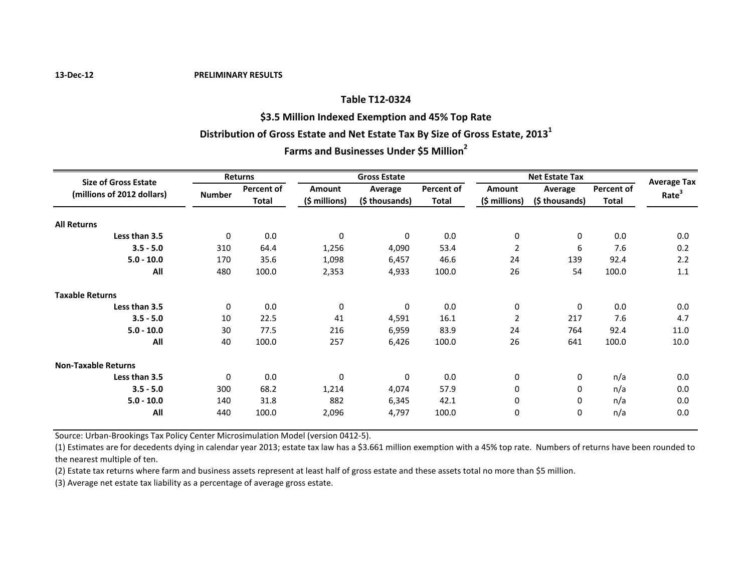#### **Table T12-0324**

**\$3.5 Million Indexed Exemption and 45% Top Rate**

### **Distribution of Gross Estate and Net Estate Tax By Size of Gross Estate, 2013<sup>1</sup>**

# **Farms and Businesses Under \$5 Million<sup>2</sup>**

| <b>Size of Gross Estate</b><br>(millions of 2012 dollars) | Returns       |                            | <b>Gross Estate</b> |                           |                                   | <b>Net Estate Tax</b>   |                           |                     |                                         |
|-----------------------------------------------------------|---------------|----------------------------|---------------------|---------------------------|-----------------------------------|-------------------------|---------------------------|---------------------|-----------------------------------------|
|                                                           | <b>Number</b> | <b>Percent of</b><br>Total | <b>Amount</b>       | Average<br>(\$ thousands) | <b>Percent of</b><br><b>Total</b> | Amount<br>(\$ millions) | Average<br>(\$ thousands) | Percent of<br>Total | <b>Average Tax</b><br>Rate <sup>3</sup> |
|                                                           |               |                            | $(5$ millions)      |                           |                                   |                         |                           |                     |                                         |
| <b>All Returns</b>                                        |               |                            |                     |                           |                                   |                         |                           |                     |                                         |
| Less than 3.5                                             | $\mathbf 0$   | 0.0                        | $\mathbf 0$         | 0                         | 0.0                               | $\mathbf 0$             | $\mathbf 0$               | 0.0                 | 0.0                                     |
| $3.5 - 5.0$                                               | 310           | 64.4                       | 1,256               | 4,090                     | 53.4                              | $\overline{2}$          | 6                         | 7.6                 | 0.2                                     |
| $5.0 - 10.0$                                              | 170           | 35.6                       | 1,098               | 6,457                     | 46.6                              | 24                      | 139                       | 92.4                | 2.2                                     |
| All                                                       | 480           | 100.0                      | 2,353               | 4,933                     | 100.0                             | 26                      | 54                        | 100.0               | 1.1                                     |
| <b>Taxable Returns</b>                                    |               |                            |                     |                           |                                   |                         |                           |                     |                                         |
| Less than 3.5                                             | 0             | 0.0                        | $\mathbf 0$         | $\Omega$                  | 0.0                               | 0                       | $\mathbf 0$               | 0.0                 | 0.0                                     |
| $3.5 - 5.0$                                               | 10            | 22.5                       | 41                  | 4,591                     | 16.1                              | 2                       | 217                       | 7.6                 | 4.7                                     |
| $5.0 - 10.0$                                              | 30            | 77.5                       | 216                 | 6,959                     | 83.9                              | 24                      | 764                       | 92.4                | 11.0                                    |
| All                                                       | 40            | 100.0                      | 257                 | 6,426                     | 100.0                             | 26                      | 641                       | 100.0               | 10.0                                    |
| <b>Non-Taxable Returns</b>                                |               |                            |                     |                           |                                   |                         |                           |                     |                                         |
| Less than 3.5                                             | $\mathbf 0$   | 0.0                        | $\mathbf 0$         | $\Omega$                  | 0.0                               | 0                       | 0                         | n/a                 | 0.0                                     |
| $3.5 - 5.0$                                               | 300           | 68.2                       | 1,214               | 4,074                     | 57.9                              | 0                       | 0                         | n/a                 | 0.0                                     |
| $5.0 - 10.0$                                              | 140           | 31.8                       | 882                 | 6,345                     | 42.1                              | 0                       | 0                         | n/a                 | 0.0                                     |
| All                                                       | 440           | 100.0                      | 2,096               | 4,797                     | 100.0                             | 0                       | 0                         | n/a                 | 0.0                                     |

Source: Urban-Brookings Tax Policy Center Microsimulation Model (version 0412-5).

(1) Estimates are for decedents dying in calendar year 2013; estate tax law has a \$3.661 million exemption with a 45% top rate. Numbers of returns have been rounded to the nearest multiple of ten.

(2) Estate tax returns where farm and business assets represent at least half of gross estate and these assets total no more than \$5 million.

(3) Average net estate tax liability as a percentage of average gross estate.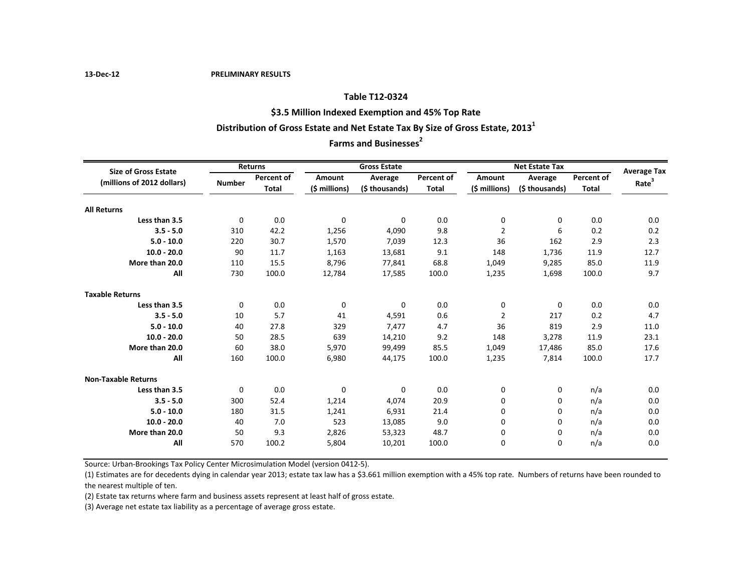#### **Table T12-0324**

### **\$3.5 Million Indexed Exemption and 45% Top Rate**

# **Distribution of Gross Estate and Net Estate Tax By Size of Gross Estate, 2013<sup>1</sup>**

# **Farms and Businesses<sup>2</sup>**

| <b>Size of Gross Estate</b><br>(millions of 2012 dollars) | Returns       |                            | <b>Gross Estate</b>            |                           |                            | <b>Net Estate Tax</b>          |                           |                            | <b>Average Tax</b> |
|-----------------------------------------------------------|---------------|----------------------------|--------------------------------|---------------------------|----------------------------|--------------------------------|---------------------------|----------------------------|--------------------|
|                                                           | <b>Number</b> | Percent of<br><b>Total</b> | <b>Amount</b><br>(\$ millions) | Average<br>(\$ thousands) | Percent of<br><b>Total</b> | <b>Amount</b><br>(\$ millions) | Average<br>(\$ thousands) | Percent of<br><b>Total</b> | Rate <sup>3</sup>  |
|                                                           |               |                            |                                |                           |                            |                                |                           |                            |                    |
| Less than 3.5                                             | 0             | 0.0                        | $\mathbf 0$                    | $\Omega$                  | 0.0                        | 0                              | 0                         | 0.0                        | 0.0                |
| $3.5 - 5.0$                                               | 310           | 42.2                       | 1,256                          | 4,090                     | 9.8                        | 2                              | 6                         | 0.2                        | 0.2                |
| $5.0 - 10.0$                                              | 220           | 30.7                       | 1,570                          | 7,039                     | 12.3                       | 36                             | 162                       | 2.9                        | 2.3                |
| $10.0 - 20.0$                                             | 90            | 11.7                       | 1,163                          | 13,681                    | 9.1                        | 148                            | 1,736                     | 11.9                       | 12.7               |
| More than 20.0                                            | 110           | 15.5                       | 8,796                          | 77,841                    | 68.8                       | 1,049                          | 9,285                     | 85.0                       | 11.9               |
| All                                                       | 730           | 100.0                      | 12,784                         | 17,585                    | 100.0                      | 1,235                          | 1,698                     | 100.0                      | 9.7                |
| <b>Taxable Returns</b>                                    |               |                            |                                |                           |                            |                                |                           |                            |                    |
| Less than 3.5                                             | $\mathbf 0$   | 0.0                        | 0                              | 0                         | 0.0                        | 0                              | 0                         | 0.0                        | 0.0                |
| $3.5 - 5.0$                                               | 10            | 5.7                        | 41                             | 4,591                     | 0.6                        | 2                              | 217                       | 0.2                        | 4.7                |
| $5.0 - 10.0$                                              | 40            | 27.8                       | 329                            | 7.477                     | 4.7                        | 36                             | 819                       | 2.9                        | 11.0               |
| $10.0 - 20.0$                                             | 50            | 28.5                       | 639                            | 14,210                    | 9.2                        | 148                            | 3,278                     | 11.9                       | 23.1               |
| More than 20.0                                            | 60            | 38.0                       | 5,970                          | 99,499                    | 85.5                       | 1,049                          | 17,486                    | 85.0                       | 17.6               |
| All                                                       | 160           | 100.0                      | 6,980                          | 44,175                    | 100.0                      | 1,235                          | 7,814                     | 100.0                      | 17.7               |
| <b>Non-Taxable Returns</b>                                |               |                            |                                |                           |                            |                                |                           |                            |                    |
| Less than 3.5                                             | 0             | 0.0                        | 0                              | 0                         | 0.0                        | 0                              | 0                         | n/a                        | 0.0                |
| $3.5 - 5.0$                                               | 300           | 52.4                       | 1,214                          | 4,074                     | 20.9                       | $\mathbf 0$                    | $\Omega$                  | n/a                        | 0.0                |
| $5.0 - 10.0$                                              | 180           | 31.5                       | 1,241                          | 6.931                     | 21.4                       | 0                              | 0                         | n/a                        | 0.0                |
| $10.0 - 20.0$                                             | 40            | 7.0                        | 523                            | 13,085                    | 9.0                        | 0                              | $\Omega$                  | n/a                        | 0.0                |
| More than 20.0                                            | 50            | 9.3                        | 2,826                          | 53,323                    | 48.7                       | 0                              | $\Omega$                  | n/a                        | 0.0                |
| All                                                       | 570           | 100.2                      | 5,804                          | 10,201                    | 100.0                      | 0                              | $\mathbf 0$               | n/a                        | 0.0                |

Source: Urban-Brookings Tax Policy Center Microsimulation Model (version 0412-5).

(1) Estimates are for decedents dying in calendar year 2013; estate tax law has a \$3.661 million exemption with a 45% top rate. Numbers of returns have been rounded to the nearest multiple of ten.

(2) Estate tax returns where farm and business assets represent at least half of gross estate.

(3) Average net estate tax liability as a percentage of average gross estate.